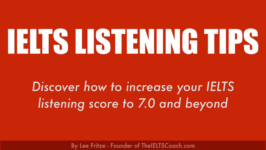## By Lee Fritze - Founder of TheIELTSCoach.com



# IELTS LISTENING TIPS

# *Discover how to increase your IELTS listening score to 7.0 and beyond*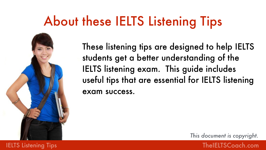# About these IELTS Listening Tips

These listening tips are designed to help IELTS students get a better understanding of the IELTS listening exam. This guide includes useful tips that are essential for IELTS listening exam success.

## **IELTS Listening Tips The IELTS Coach.com**

*This document is copyright.*







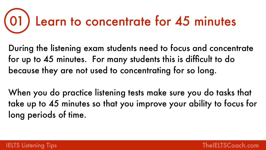for up to 45 minutes. For many students this is difficult to do because they are not used to concentrating for so long.

- During the listening exam students need to focus and concentrate
- When you do practice listening tests make sure you do tasks that take up to 45 minutes so that you improve your ability to focus for





long periods of time.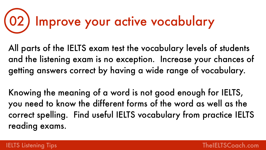All parts of the IELTS exam test the vocabulary levels of students and the listening exam is no exception. Increase your chances of getting answers correct by having a wide range of vocabulary.



Knowing the meaning of a word is not good enough for IELTS, you need to know the different forms of the word as well as the correct spelling. Find useful IELTS vocabulary from practice IELTS reading exams.





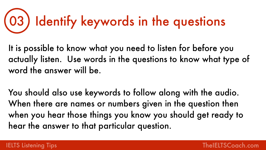It is possible to know what you need to listen for before you word the answer will be.

actually listen. Use words in the questions to know what type of



You should also use keywords to follow along with the audio. When there are names or numbers given in the question then hear the answer to that particular question.

### IELTS Listening Tips **The IELTS Coach.com**

when you hear those things you know you should get ready to

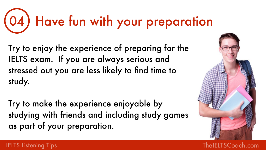Try to enjoy the experience of preparing for the IELTS exam. If you are always serious and stressed out you are less likely to find time to study.

Try to make the experience enjoyable by studying with friends and including study games as part of your preparation.





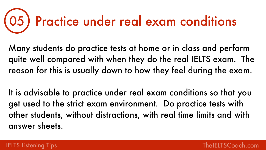- Many students do practice tests at home or in class and perform quite well compared with when they do the real IELTS exam. The reason for this is usually down to how they feel during the exam.
- It is advisable to practice under real exam conditions so that you get used to the strict exam environment. Do practice tests with other students, without distractions, with real time limits and with







answer sheets.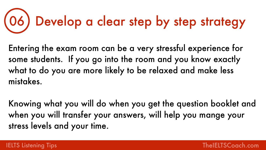

Entering the exam room can be a very stressful experience for some students. If you go into the room and you know exactly what to do you are more likely to be relaxed and make less mistakes.

Knowing what you will do when you get the question booklet and when you will transfer your answers, will help you mange your stress levels and your time.

## 06) Develop a clear step by step strategy



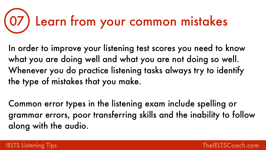In order to improve your listening test scores you need to know what you are doing well and what you are not doing so well. Whenever you do practice listening tasks always try to identify the type of mistakes that you make.



Common error types in the listening exam include spelling or grammar errors, poor transferring skills and the inability to follow along with the audio.



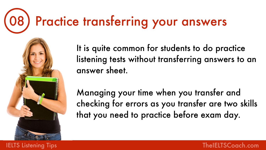It is quite common for students to do practice listening tests without transferring answers to an answer sheet.





Managing your time when you transfer and checking for errors as you transfer are two skills that you need to practice before exam day.

## **IELTS Listening Tips The IELTS Coach.com**





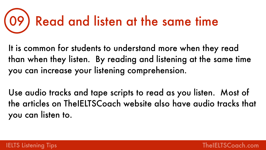It is common for students to understand more when they read you can increase your listening comprehension.



- than when they listen. By reading and listening at the same time
- Use audio tracks and tape scripts to read as you listen. Most of the articles on TheIELTSCoach website also have audio tracks that





you can listen to.

IELTS Listening Tips [TheIELTSCoach.com](http://theieltscoach.com)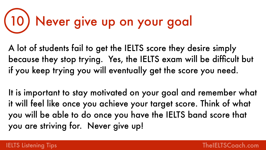# 10) Never give up on your goal

A lot of students fail to get the IELTS score they desire simply because they stop trying. Yes, the IELTS exam will be difficult but if you keep trying you will eventually get the score you need.

It is important to stay motivated on your goal and remember what it will feel like once you achieve your target score. Think of what you will be able to do once you have the IELTS band score that you are striving for. Never give up!

### **IELTS Listening Tips The Listening Tips According to the USA Community Community Community Community Community**

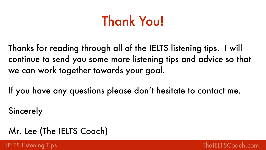## Thank You!

Thanks for reading through all of the IELTS listening tips. I will continue to send you some more listening tips and advice so that





# we can work together towards your goal.

If you have any questions please don't hesitate to contact me.

Sincerely

## Mr. Lee (The IELTS Coach)

**IELTS Listening Tips** The Community of the *IELTS* Coach.com